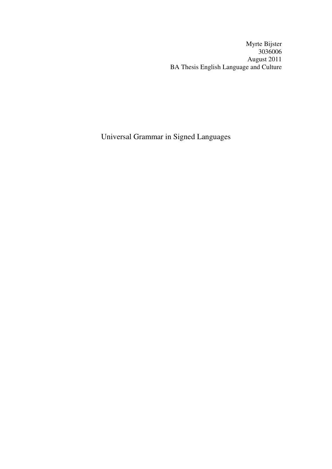Myrte Bijster 3036006 August 2011 BA Thesis English Language and Culture

Universal Grammar in Signed Languages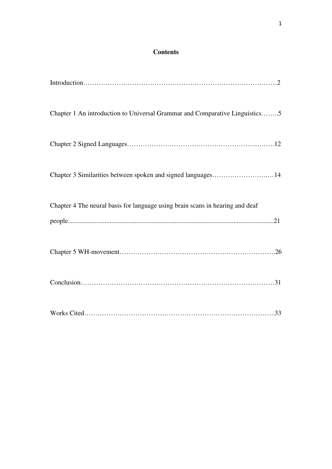## **Contents**

| Chapter 1 An introduction to Universal Grammar and Comparative Linguistics5   |
|-------------------------------------------------------------------------------|
|                                                                               |
| Chapter 3 Similarities between spoken and signed languages14                  |
| Chapter 4 The neural basis for language using brain scans in hearing and deaf |
|                                                                               |
|                                                                               |
|                                                                               |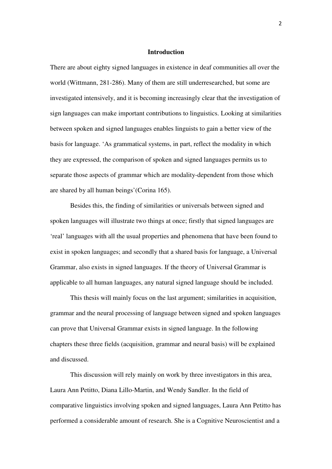## **Introduction**

There are about eighty signed languages in existence in deaf communities all over the world (Wittmann, 281-286). Many of them are still underresearched, but some are investigated intensively, and it is becoming increasingly clear that the investigation of sign languages can make important contributions to linguistics. Looking at similarities between spoken and signed languages enables linguists to gain a better view of the basis for language. 'As grammatical systems, in part, reflect the modality in which they are expressed, the comparison of spoken and signed languages permits us to separate those aspects of grammar which are modality-dependent from those which are shared by all human beings'(Corina 165).

 Besides this, the finding of similarities or universals between signed and spoken languages will illustrate two things at once; firstly that signed languages are 'real' languages with all the usual properties and phenomena that have been found to exist in spoken languages; and secondly that a shared basis for language, a Universal Grammar, also exists in signed languages. If the theory of Universal Grammar is applicable to all human languages, any natural signed language should be included.

This thesis will mainly focus on the last argument; similarities in acquisition, grammar and the neural processing of language between signed and spoken languages can prove that Universal Grammar exists in signed language. In the following chapters these three fields (acquisition, grammar and neural basis) will be explained and discussed.

 This discussion will rely mainly on work by three investigators in this area, Laura Ann Petitto, Diana Lillo-Martin, and Wendy Sandler. In the field of comparative linguistics involving spoken and signed languages, Laura Ann Petitto has performed a considerable amount of research. She is a Cognitive Neuroscientist and a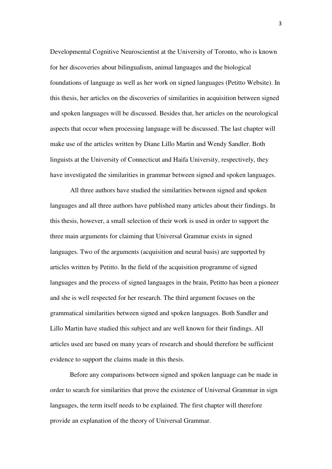Developmental Cognitive Neuroscientist at the University of Toronto, who is known for her discoveries about bilingualism, animal languages and the biological foundations of language as well as her work on signed languages (Petitto Website). In this thesis, her articles on the discoveries of similarities in acquisition between signed and spoken languages will be discussed. Besides that, her articles on the neurological aspects that occur when processing language will be discussed. The last chapter will make use of the articles written by Diane Lillo Martin and Wendy Sandler. Both linguists at the University of Connecticut and Haifa University, respectively, they have investigated the similarities in grammar between signed and spoken languages.

 All three authors have studied the similarities between signed and spoken languages and all three authors have published many articles about their findings. In this thesis, however, a small selection of their work is used in order to support the three main arguments for claiming that Universal Grammar exists in signed languages. Two of the arguments (acquisition and neural basis) are supported by articles written by Petitto. In the field of the acquisition programme of signed languages and the process of signed languages in the brain, Petitto has been a pioneer and she is well respected for her research. The third argument focuses on the grammatical similarities between signed and spoken languages. Both Sandler and Lillo Martin have studied this subject and are well known for their findings. All articles used are based on many years of research and should therefore be sufficient evidence to support the claims made in this thesis.

Before any comparisons between signed and spoken language can be made in order to search for similarities that prove the existence of Universal Grammar in sign languages, the term itself needs to be explained. The first chapter will therefore provide an explanation of the theory of Universal Grammar.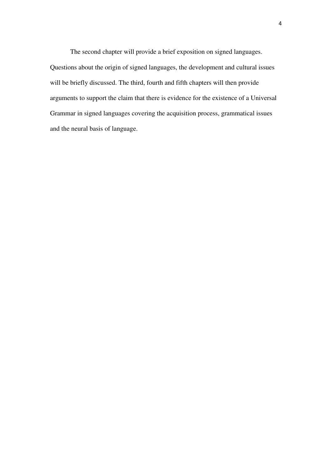The second chapter will provide a brief exposition on signed languages. Questions about the origin of signed languages, the development and cultural issues will be briefly discussed. The third, fourth and fifth chapters will then provide arguments to support the claim that there is evidence for the existence of a Universal Grammar in signed languages covering the acquisition process, grammatical issues and the neural basis of language.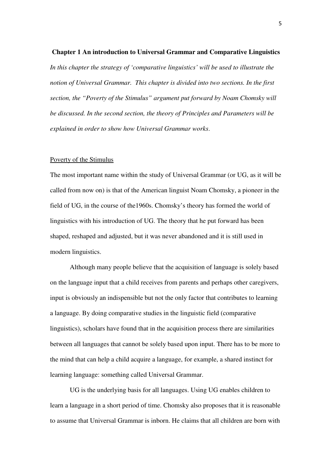## **Chapter 1 An introduction to Universal Grammar and Comparative Linguistics**

*In this chapter the strategy of 'comparative linguistics' will be used to illustrate the notion of Universal Grammar. This chapter is divided into two sections. In the first section, the "Poverty of the Stimulus" argument put forward by Noam Chomsky will be discussed. In the second section, the theory of Principles and Parameters will be explained in order to show how Universal Grammar works*.

#### Poverty of the Stimulus

The most important name within the study of Universal Grammar (or UG, as it will be called from now on) is that of the American linguist Noam Chomsky, a pioneer in the field of UG, in the course of the1960s. Chomsky's theory has formed the world of linguistics with his introduction of UG. The theory that he put forward has been shaped, reshaped and adjusted, but it was never abandoned and it is still used in modern linguistics.

Although many people believe that the acquisition of language is solely based on the language input that a child receives from parents and perhaps other caregivers, input is obviously an indispensible but not the only factor that contributes to learning a language. By doing comparative studies in the linguistic field (comparative linguistics), scholars have found that in the acquisition process there are similarities between all languages that cannot be solely based upon input. There has to be more to the mind that can help a child acquire a language, for example, a shared instinct for learning language: something called Universal Grammar.

UG is the underlying basis for all languages. Using UG enables children to learn a language in a short period of time. Chomsky also proposes that it is reasonable to assume that Universal Grammar is inborn. He claims that all children are born with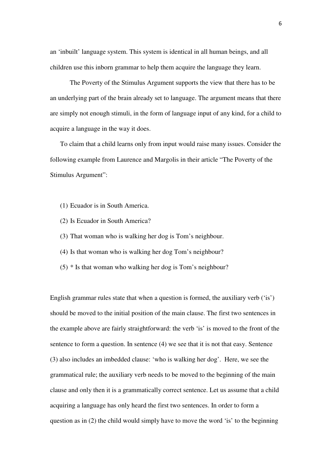an 'inbuilt' language system. This system is identical in all human beings, and all children use this inborn grammar to help them acquire the language they learn.

The Poverty of the Stimulus Argument supports the view that there has to be an underlying part of the brain already set to language. The argument means that there are simply not enough stimuli, in the form of language input of any kind, for a child to acquire a language in the way it does.

To claim that a child learns only from input would raise many issues. Consider the following example from Laurence and Margolis in their article "The Poverty of the Stimulus Argument":

- (1) Ecuador is in South America.
- (2) Is Ecuador in South America?
- (3) That woman who is walking her dog is Tom's neighbour.
- (4) Is that woman who is walking her dog Tom's neighbour?
- (5) \* Is that woman who walking her dog is Tom's neighbour?

English grammar rules state that when a question is formed, the auxiliary verb ('is') should be moved to the initial position of the main clause. The first two sentences in the example above are fairly straightforward: the verb 'is' is moved to the front of the sentence to form a question. In sentence (4) we see that it is not that easy. Sentence (3) also includes an imbedded clause: 'who is walking her dog'. Here, we see the grammatical rule; the auxiliary verb needs to be moved to the beginning of the main clause and only then it is a grammatically correct sentence. Let us assume that a child acquiring a language has only heard the first two sentences. In order to form a question as in (2) the child would simply have to move the word 'is' to the beginning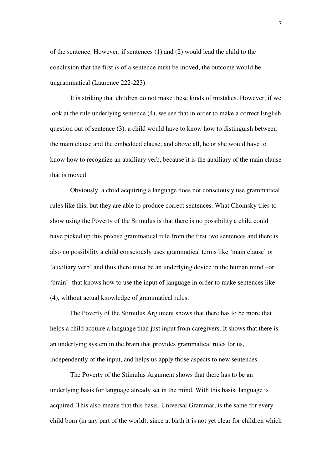of the sentence. However, if sentences (1) and (2) would lead the child to the conclusion that the first *is* of a sentence must be moved, the outcome would be ungrammatical (Laurence 222-223).

It is striking that children do not make these kinds of mistakes. However, if we look at the rule underlying sentence (4), we see that in order to make a correct English question out of sentence (3), a child would have to know how to distinguish between the main clause and the embedded clause, and above all, he or she would have to know how to recognize an auxiliary verb, because it is the auxiliary of the main clause that is moved.

Obviously, a child acquiring a language does not consciously use grammatical rules like this, but they are able to produce correct sentences. What Chomsky tries to show using the Poverty of the Stimulus is that there is no possibility a child could have picked up this precise grammatical rule from the first two sentences and there is also no possibility a child consciously uses grammatical terms like 'main clause' or 'auxiliary verb' and thus there must be an underlying device in the human mind –or 'brain'- that knows how to use the input of language in order to make sentences like (4), without actual knowledge of grammatical rules.

The Poverty of the Stimulus Argument shows that there has to be more that helps a child acquire a language than just input from caregivers. It shows that there is an underlying system in the brain that provides grammatical rules for us, independently of the input, and helps us apply those aspects to new sentences.

The Poverty of the Stimulus Argument shows that there has to be an underlying basis for language already set in the mind. With this basis, language is acquired. This also means that this basis, Universal Grammar, is the same for every child born (in any part of the world), since at birth it is not yet clear for children which

7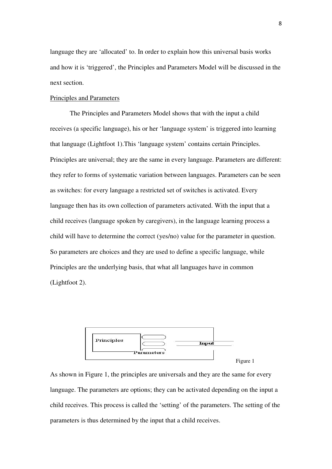language they are 'allocated' to. In order to explain how this universal basis works and how it is 'triggered', the Principles and Parameters Model will be discussed in the next section.

## Principles and Parameters

The Principles and Parameters Model shows that with the input a child receives (a specific language), his or her 'language system' is triggered into learning that language (Lightfoot 1).This 'language system' contains certain Principles. Principles are universal; they are the same in every language. Parameters are different: they refer to forms of systematic variation between languages. Parameters can be seen as switches: for every language a restricted set of switches is activated. Every language then has its own collection of parameters activated. With the input that a child receives (language spoken by caregivers), in the language learning process a child will have to determine the correct (yes/no) value for the parameter in question. So parameters are choices and they are used to define a specific language, while Principles are the underlying basis, that what all languages have in common (Lightfoot 2).



As shown in Figure 1, the principles are universals and they are the same for every language. The parameters are options; they can be activated depending on the input a child receives. This process is called the 'setting' of the parameters. The setting of the parameters is thus determined by the input that a child receives.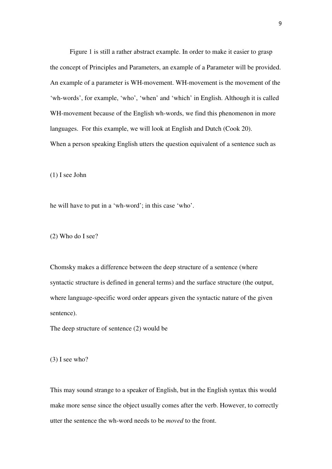Figure 1 is still a rather abstract example. In order to make it easier to grasp the concept of Principles and Parameters, an example of a Parameter will be provided. An example of a parameter is WH-movement. WH-movement is the movement of the 'wh-words', for example, 'who', 'when' and 'which' in English. Although it is called WH-movement because of the English wh-words, we find this phenomenon in more languages. For this example, we will look at English and Dutch (Cook 20). When a person speaking English utters the question equivalent of a sentence such as

(1) I see John

he will have to put in a 'wh-word'; in this case 'who'.

(2) Who do I see?

Chomsky makes a difference between the deep structure of a sentence (where syntactic structure is defined in general terms) and the surface structure (the output, where language-specific word order appears given the syntactic nature of the given sentence).

The deep structure of sentence (2) would be

(3) I see who?

This may sound strange to a speaker of English, but in the English syntax this would make more sense since the object usually comes after the verb. However, to correctly utter the sentence the wh-word needs to be *moved* to the front.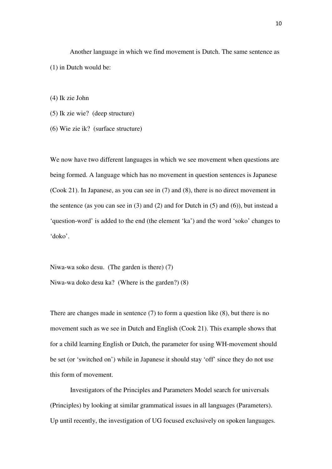Another language in which we find movement is Dutch. The same sentence as (1) in Dutch would be:

(4) Ik zie John

(5) Ik zie wie? (deep structure)

(6) Wie zie ik? (surface structure)

We now have two different languages in which we see movement when questions are being formed. A language which has no movement in question sentences is Japanese (Cook 21). In Japanese, as you can see in (7) and (8), there is no direct movement in the sentence (as you can see in (3) and (2) and for Dutch in (5) and (6)), but instead a 'question-word' is added to the end (the element 'ka') and the word 'soko' changes to 'doko'.

Niwa-wa soko desu. (The garden is there) (7) Niwa-wa doko desu ka? (Where is the garden?) (8)

There are changes made in sentence (7) to form a question like (8), but there is no movement such as we see in Dutch and English (Cook 21). This example shows that for a child learning English or Dutch, the parameter for using WH-movement should be set (or 'switched on') while in Japanese it should stay 'off' since they do not use this form of movement.

 Investigators of the Principles and Parameters Model search for universals (Principles) by looking at similar grammatical issues in all languages (Parameters). Up until recently, the investigation of UG focused exclusively on spoken languages.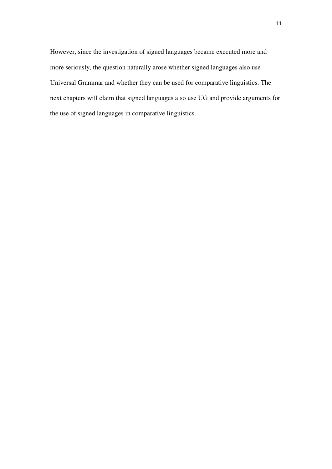However, since the investigation of signed languages became executed more and more seriously, the question naturally arose whether signed languages also use Universal Grammar and whether they can be used for comparative linguistics. The next chapters will claim that signed languages also use UG and provide arguments for the use of signed languages in comparative linguistics.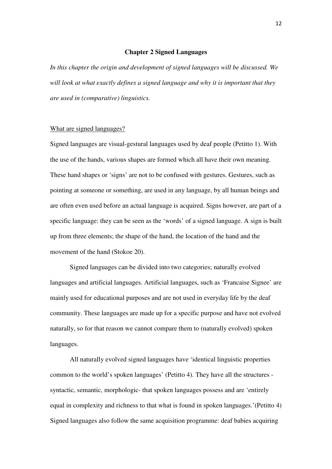## **Chapter 2 Signed Languages**

*In this chapter the origin and development of signed languages will be discussed. We will look at what exactly defines a signed language and why it is important that they are used in (comparative) linguistics.* 

#### What are signed languages?

Signed languages are visual-gestural languages used by deaf people (Petitto 1). With the use of the hands, various shapes are formed which all have their own meaning. These hand shapes or 'signs' are not to be confused with gestures. Gestures, such as pointing at someone or something, are used in any language, by all human beings and are often even used before an actual language is acquired. Signs however, are part of a specific language: they can be seen as the 'words' of a signed language. A sign is built up from three elements; the shape of the hand, the location of the hand and the movement of the hand (Stokoe 20).

Signed languages can be divided into two categories; naturally evolved languages and artificial languages. Artificial languages, such as 'Francaise Signee' are mainly used for educational purposes and are not used in everyday life by the deaf community. These languages are made up for a specific purpose and have not evolved naturally, so for that reason we cannot compare them to (naturally evolved) spoken languages.

All naturally evolved signed languages have 'identical linguistic properties common to the world's spoken languages' (Petitto 4). They have all the structures syntactic, semantic, morphologic- that spoken languages possess and are 'entirely equal in complexity and richness to that what is found in spoken languages.'(Petitto 4) Signed languages also follow the same acquisition programme: deaf babies acquiring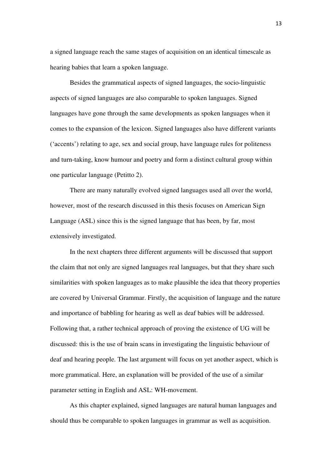a signed language reach the same stages of acquisition on an identical timescale as hearing babies that learn a spoken language.

Besides the grammatical aspects of signed languages, the socio-linguistic aspects of signed languages are also comparable to spoken languages. Signed languages have gone through the same developments as spoken languages when it comes to the expansion of the lexicon. Signed languages also have different variants ('accents') relating to age, sex and social group, have language rules for politeness and turn-taking, know humour and poetry and form a distinct cultural group within one particular language (Petitto 2).

There are many naturally evolved signed languages used all over the world, however, most of the research discussed in this thesis focuses on American Sign Language (ASL) since this is the signed language that has been, by far, most extensively investigated.

In the next chapters three different arguments will be discussed that support the claim that not only are signed languages real languages, but that they share such similarities with spoken languages as to make plausible the idea that theory properties are covered by Universal Grammar. Firstly, the acquisition of language and the nature and importance of babbling for hearing as well as deaf babies will be addressed. Following that, a rather technical approach of proving the existence of UG will be discussed: this is the use of brain scans in investigating the linguistic behaviour of deaf and hearing people. The last argument will focus on yet another aspect, which is more grammatical. Here, an explanation will be provided of the use of a similar parameter setting in English and ASL: WH-movement.

As this chapter explained, signed languages are natural human languages and should thus be comparable to spoken languages in grammar as well as acquisition.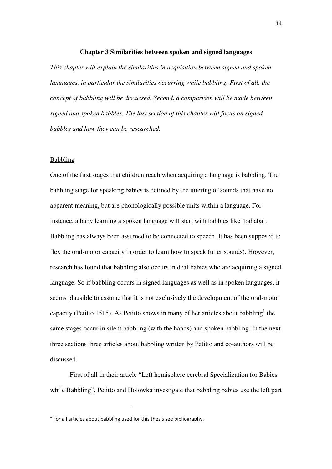## **Chapter 3 Similarities between spoken and signed languages**

*This chapter will explain the similarities in acquisition between signed and spoken languages, in particular the similarities occurring while babbling. First of all, the concept of babbling will be discussed. Second, a comparison will be made between signed and spoken babbles. The last section of this chapter will focus on signed babbles and how they can be researched.* 

#### Babbling

l

One of the first stages that children reach when acquiring a language is babbling. The babbling stage for speaking babies is defined by the uttering of sounds that have no apparent meaning, but are phonologically possible units within a language. For instance, a baby learning a spoken language will start with babbles like 'bababa'. Babbling has always been assumed to be connected to speech. It has been supposed to flex the oral-motor capacity in order to learn how to speak (utter sounds). However, research has found that babbling also occurs in deaf babies who are acquiring a signed language. So if babbling occurs in signed languages as well as in spoken languages, it seems plausible to assume that it is not exclusively the development of the oral-motor capacity (Petitto 1515). As Petitto shows in many of her articles about babbling<sup>1</sup> the same stages occur in silent babbling (with the hands) and spoken babbling. In the next three sections three articles about babbling written by Petitto and co-authors will be discussed.

First of all in their article "Left hemisphere cerebral Specialization for Babies while Babbling", Petitto and Holowka investigate that babbling babies use the left part

 $<sup>1</sup>$  For all articles about babbling used for this thesis see bibliography.</sup>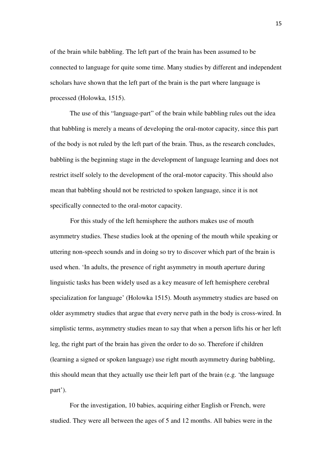of the brain while babbling. The left part of the brain has been assumed to be connected to language for quite some time. Many studies by different and independent scholars have shown that the left part of the brain is the part where language is processed (Holowka, 1515).

The use of this "language-part" of the brain while babbling rules out the idea that babbling is merely a means of developing the oral-motor capacity, since this part of the body is not ruled by the left part of the brain. Thus, as the research concludes, babbling is the beginning stage in the development of language learning and does not restrict itself solely to the development of the oral-motor capacity. This should also mean that babbling should not be restricted to spoken language, since it is not specifically connected to the oral-motor capacity.

 For this study of the left hemisphere the authors makes use of mouth asymmetry studies. These studies look at the opening of the mouth while speaking or uttering non-speech sounds and in doing so try to discover which part of the brain is used when. 'In adults, the presence of right asymmetry in mouth aperture during linguistic tasks has been widely used as a key measure of left hemisphere cerebral specialization for language' (Holowka 1515). Mouth asymmetry studies are based on older asymmetry studies that argue that every nerve path in the body is cross-wired. In simplistic terms, asymmetry studies mean to say that when a person lifts his or her left leg, the right part of the brain has given the order to do so. Therefore if children (learning a signed or spoken language) use right mouth asymmetry during babbling, this should mean that they actually use their left part of the brain (e.g. 'the language part').

For the investigation, 10 babies, acquiring either English or French, were studied. They were all between the ages of 5 and 12 months. All babies were in the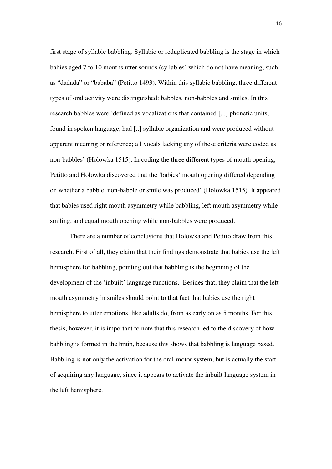first stage of syllabic babbling. Syllabic or reduplicated babbling is the stage in which babies aged 7 to 10 months utter sounds (syllables) which do not have meaning, such as "dadada" or "bababa" (Petitto 1493). Within this syllabic babbling, three different types of oral activity were distinguished: babbles, non-babbles and smiles. In this research babbles were 'defined as vocalizations that contained [...] phonetic units, found in spoken language, had [..] syllabic organization and were produced without apparent meaning or reference; all vocals lacking any of these criteria were coded as non-babbles' (Holowka 1515). In coding the three different types of mouth opening, Petitto and Holowka discovered that the 'babies' mouth opening differed depending on whether a babble, non-babble or smile was produced' (Holowka 1515). It appeared that babies used right mouth asymmetry while babbling, left mouth asymmetry while smiling, and equal mouth opening while non-babbles were produced.

There are a number of conclusions that Holowka and Petitto draw from this research. First of all, they claim that their findings demonstrate that babies use the left hemisphere for babbling, pointing out that babbling is the beginning of the development of the 'inbuilt' language functions. Besides that, they claim that the left mouth asymmetry in smiles should point to that fact that babies use the right hemisphere to utter emotions, like adults do, from as early on as 5 months. For this thesis, however, it is important to note that this research led to the discovery of how babbling is formed in the brain, because this shows that babbling is language based. Babbling is not only the activation for the oral-motor system, but is actually the start of acquiring any language, since it appears to activate the inbuilt language system in the left hemisphere.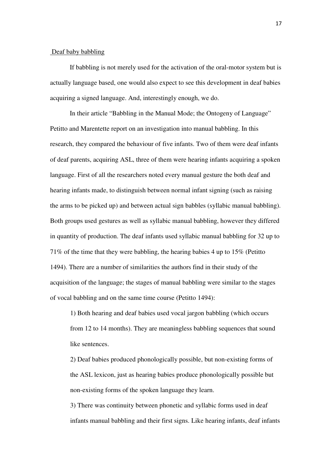## Deaf baby babbling

If babbling is not merely used for the activation of the oral-motor system but is actually language based, one would also expect to see this development in deaf babies acquiring a signed language. And, interestingly enough, we do.

In their article "Babbling in the Manual Mode; the Ontogeny of Language" Petitto and Marentette report on an investigation into manual babbling. In this research, they compared the behaviour of five infants. Two of them were deaf infants of deaf parents, acquiring ASL, three of them were hearing infants acquiring a spoken language. First of all the researchers noted every manual gesture the both deaf and hearing infants made, to distinguish between normal infant signing (such as raising the arms to be picked up) and between actual sign babbles (syllabic manual babbling). Both groups used gestures as well as syllabic manual babbling, however they differed in quantity of production. The deaf infants used syllabic manual babbling for 32 up to 71% of the time that they were babbling, the hearing babies 4 up to 15% (Petitto 1494). There are a number of similarities the authors find in their study of the acquisition of the language; the stages of manual babbling were similar to the stages of vocal babbling and on the same time course (Petitto 1494):

1) Both hearing and deaf babies used vocal jargon babbling (which occurs from 12 to 14 months). They are meaningless babbling sequences that sound like sentences.

2) Deaf babies produced phonologically possible, but non-existing forms of the ASL lexicon, just as hearing babies produce phonologically possible but non-existing forms of the spoken language they learn.

3) There was continuity between phonetic and syllabic forms used in deaf infants manual babbling and their first signs. Like hearing infants, deaf infants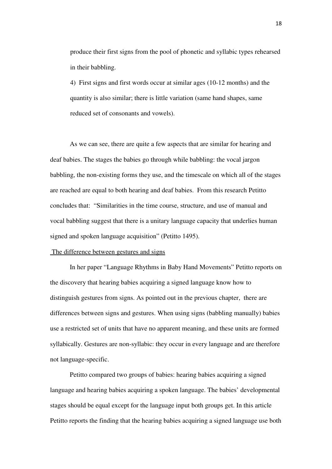produce their first signs from the pool of phonetic and syllabic types rehearsed in their babbling.

4) First signs and first words occur at similar ages (10-12 months) and the quantity is also similar; there is little variation (same hand shapes, same reduced set of consonants and vowels).

As we can see, there are quite a few aspects that are similar for hearing and deaf babies. The stages the babies go through while babbling: the vocal jargon babbling, the non-existing forms they use, and the timescale on which all of the stages are reached are equal to both hearing and deaf babies. From this research Petitto concludes that: "Similarities in the time course, structure, and use of manual and vocal babbling suggest that there is a unitary language capacity that underlies human signed and spoken language acquisition" (Petitto 1495).

#### The difference between gestures and signs

In her paper "Language Rhythms in Baby Hand Movements" Petitto reports on the discovery that hearing babies acquiring a signed language know how to distinguish gestures from signs. As pointed out in the previous chapter, there are differences between signs and gestures. When using signs (babbling manually) babies use a restricted set of units that have no apparent meaning, and these units are formed syllabically. Gestures are non-syllabic: they occur in every language and are therefore not language-specific.

Petitto compared two groups of babies: hearing babies acquiring a signed language and hearing babies acquiring a spoken language. The babies' developmental stages should be equal except for the language input both groups get. In this article Petitto reports the finding that the hearing babies acquiring a signed language use both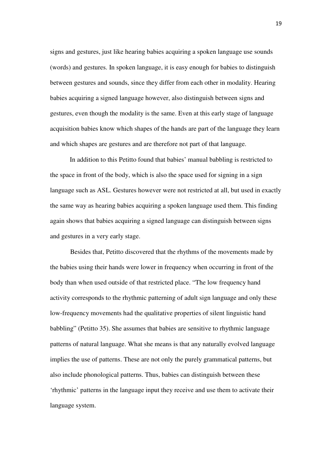signs and gestures, just like hearing babies acquiring a spoken language use sounds (words) and gestures. In spoken language, it is easy enough for babies to distinguish between gestures and sounds, since they differ from each other in modality. Hearing babies acquiring a signed language however, also distinguish between signs and gestures, even though the modality is the same. Even at this early stage of language acquisition babies know which shapes of the hands are part of the language they learn and which shapes are gestures and are therefore not part of that language.

In addition to this Petitto found that babies' manual babbling is restricted to the space in front of the body, which is also the space used for signing in a sign language such as ASL. Gestures however were not restricted at all, but used in exactly the same way as hearing babies acquiring a spoken language used them. This finding again shows that babies acquiring a signed language can distinguish between signs and gestures in a very early stage.

Besides that, Petitto discovered that the rhythms of the movements made by the babies using their hands were lower in frequency when occurring in front of the body than when used outside of that restricted place. "The low frequency hand activity corresponds to the rhythmic patterning of adult sign language and only these low-frequency movements had the qualitative properties of silent linguistic hand babbling" (Petitto 35). She assumes that babies are sensitive to rhythmic language patterns of natural language. What she means is that any naturally evolved language implies the use of patterns. These are not only the purely grammatical patterns, but also include phonological patterns. Thus, babies can distinguish between these 'rhythmic' patterns in the language input they receive and use them to activate their language system.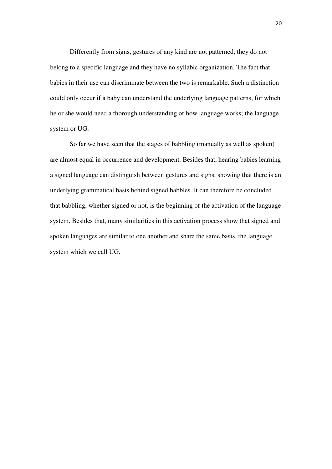Differently from signs, gestures of any kind are not patterned, they do not belong to a specific language and they have no syllabic organization. The fact that babies in their use can discriminate between the two is remarkable. Such a distinction could only occur if a baby can understand the underlying language patterns, for which he or she would need a thorough understanding of how language works; the language system or UG.

So far we have seen that the stages of babbling (manually as well as spoken) are almost equal in occurrence and development. Besides that, hearing babies learning a signed language can distinguish between gestures and signs, showing that there is an underlying grammatical basis behind signed babbles. It can therefore be concluded that babbling, whether signed or not, is the beginning of the activation of the language system. Besides that, many similarities in this activation process show that signed and spoken languages are similar to one another and share the same basis, the language system which we call UG.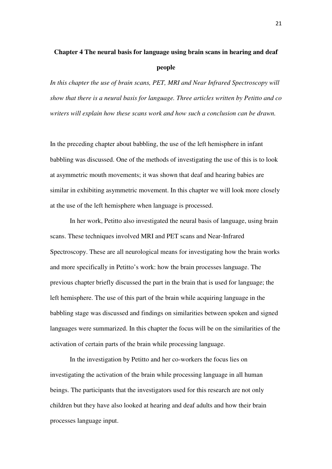# **Chapter 4 The neural basis for language using brain scans in hearing and deaf people**

*In this chapter the use of brain scans, PET, MRI and Near Infrared Spectroscopy will show that there is a neural basis for language. Three articles written by Petitto and co writers will explain how these scans work and how such a conclusion can be drawn.* 

In the preceding chapter about babbling, the use of the left hemisphere in infant babbling was discussed. One of the methods of investigating the use of this is to look at asymmetric mouth movements; it was shown that deaf and hearing babies are similar in exhibiting asymmetric movement. In this chapter we will look more closely at the use of the left hemisphere when language is processed.

In her work, Petitto also investigated the neural basis of language, using brain scans. These techniques involved MRI and PET scans and Near-Infrared Spectroscopy. These are all neurological means for investigating how the brain works and more specifically in Petitto's work: how the brain processes language. The previous chapter briefly discussed the part in the brain that is used for language; the left hemisphere. The use of this part of the brain while acquiring language in the babbling stage was discussed and findings on similarities between spoken and signed languages were summarized. In this chapter the focus will be on the similarities of the activation of certain parts of the brain while processing language.

In the investigation by Petitto and her co-workers the focus lies on investigating the activation of the brain while processing language in all human beings. The participants that the investigators used for this research are not only children but they have also looked at hearing and deaf adults and how their brain processes language input.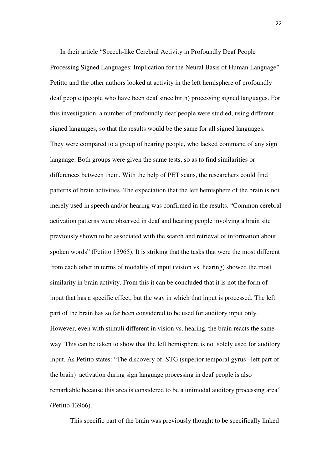In their article "Speech-like Cerebral Activity in Profoundly Deaf People Processing Signed Languages: Implication for the Neural Basis of Human Language" Petitto and the other authors looked at activity in the left hemisphere of profoundly deaf people (people who have been deaf since birth) processing signed languages. For this investigation, a number of profoundly deaf people were studied, using different signed languages, so that the results would be the same for all signed languages. They were compared to a group of hearing people, who lacked command of any sign language. Both groups were given the same tests, so as to find similarities or differences between them. With the help of PET scans, the researchers could find patterns of brain activities. The expectation that the left hemisphere of the brain is not merely used in speech and/or hearing was confirmed in the results. "Common cerebral activation patterns were observed in deaf and hearing people involving a brain site previously shown to be associated with the search and retrieval of information about spoken words" (Petitto 13965). It is striking that the tasks that were the most different from each other in terms of modality of input (vision vs. hearing) showed the most similarity in brain activity. From this it can be concluded that it is not the form of input that has a specific effect, but the way in which that input is processed. The left part of the brain has so far been considered to be used for auditory input only. However, even with stimuli different in vision vs. hearing, the brain reacts the same way. This can be taken to show that the left hemisphere is not solely used for auditory input. As Petitto states: "The discovery of STG (superior temporal gyrus –left part of the brain) activation during sign language processing in deaf people is also remarkable because this area is considered to be a unimodal auditory processing area" (Petitto 13966).

This specific part of the brain was previously thought to be specifically linked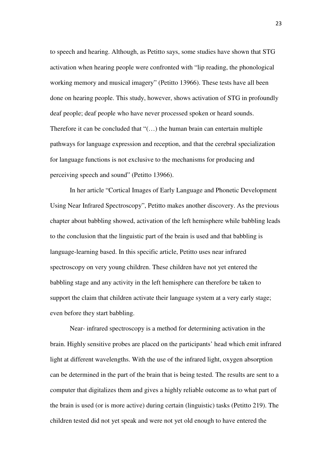to speech and hearing. Although, as Petitto says, some studies have shown that STG activation when hearing people were confronted with "lip reading, the phonological working memory and musical imagery" (Petitto 13966). These tests have all been done on hearing people. This study, however, shows activation of STG in profoundly deaf people; deaf people who have never processed spoken or heard sounds. Therefore it can be concluded that "(…) the human brain can entertain multiple pathways for language expression and reception, and that the cerebral specialization for language functions is not exclusive to the mechanisms for producing and perceiving speech and sound" (Petitto 13966).

In her article "Cortical Images of Early Language and Phonetic Development Using Near Infrared Spectroscopy", Petitto makes another discovery. As the previous chapter about babbling showed, activation of the left hemisphere while babbling leads to the conclusion that the linguistic part of the brain is used and that babbling is language-learning based. In this specific article, Petitto uses near infrared spectroscopy on very young children. These children have not yet entered the babbling stage and any activity in the left hemisphere can therefore be taken to support the claim that children activate their language system at a very early stage; even before they start babbling.

Near- infrared spectroscopy is a method for determining activation in the brain. Highly sensitive probes are placed on the participants' head which emit infrared light at different wavelengths. With the use of the infrared light, oxygen absorption can be determined in the part of the brain that is being tested. The results are sent to a computer that digitalizes them and gives a highly reliable outcome as to what part of the brain is used (or is more active) during certain (linguistic) tasks (Petitto 219). The children tested did not yet speak and were not yet old enough to have entered the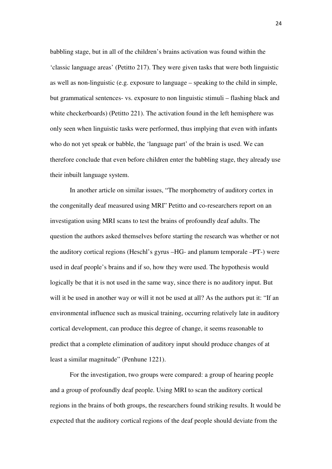babbling stage, but in all of the children's brains activation was found within the 'classic language areas' (Petitto 217). They were given tasks that were both linguistic as well as non-linguistic (e.g. exposure to language – speaking to the child in simple, but grammatical sentences- vs. exposure to non linguistic stimuli – flashing black and white checkerboards) (Petitto 221). The activation found in the left hemisphere was only seen when linguistic tasks were performed, thus implying that even with infants who do not yet speak or babble, the 'language part' of the brain is used. We can therefore conclude that even before children enter the babbling stage, they already use their inbuilt language system.

In another article on similar issues, "The morphometry of auditory cortex in the congenitally deaf measured using MRI" Petitto and co-researchers report on an investigation using MRI scans to test the brains of profoundly deaf adults. The question the authors asked themselves before starting the research was whether or not the auditory cortical regions (Heschl's gyrus –HG- and planum temporale –PT-) were used in deaf people's brains and if so, how they were used. The hypothesis would logically be that it is not used in the same way, since there is no auditory input. But will it be used in another way or will it not be used at all? As the authors put it: "If an environmental influence such as musical training, occurring relatively late in auditory cortical development, can produce this degree of change, it seems reasonable to predict that a complete elimination of auditory input should produce changes of at least a similar magnitude" (Penhune 1221).

For the investigation, two groups were compared: a group of hearing people and a group of profoundly deaf people. Using MRI to scan the auditory cortical regions in the brains of both groups, the researchers found striking results. It would be expected that the auditory cortical regions of the deaf people should deviate from the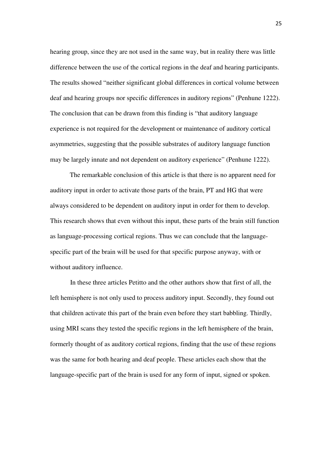hearing group, since they are not used in the same way, but in reality there was little difference between the use of the cortical regions in the deaf and hearing participants. The results showed "neither significant global differences in cortical volume between deaf and hearing groups nor specific differences in auditory regions" (Penhune 1222). The conclusion that can be drawn from this finding is "that auditory language experience is not required for the development or maintenance of auditory cortical asymmetries, suggesting that the possible substrates of auditory language function may be largely innate and not dependent on auditory experience" (Penhune 1222).

The remarkable conclusion of this article is that there is no apparent need for auditory input in order to activate those parts of the brain, PT and HG that were always considered to be dependent on auditory input in order for them to develop. This research shows that even without this input, these parts of the brain still function as language-processing cortical regions. Thus we can conclude that the languagespecific part of the brain will be used for that specific purpose anyway, with or without auditory influence.

 In these three articles Petitto and the other authors show that first of all, the left hemisphere is not only used to process auditory input. Secondly, they found out that children activate this part of the brain even before they start babbling. Thirdly, using MRI scans they tested the specific regions in the left hemisphere of the brain, formerly thought of as auditory cortical regions, finding that the use of these regions was the same for both hearing and deaf people. These articles each show that the language-specific part of the brain is used for any form of input, signed or spoken.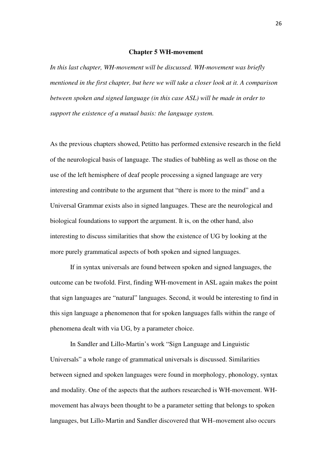#### **Chapter 5 WH-movement**

*In this last chapter, WH-movement will be discussed. WH-movement was briefly mentioned in the first chapter, but here we will take a closer look at it. A comparison between spoken and signed language (in this case ASL) will be made in order to support the existence of a mutual basis: the language system.* 

As the previous chapters showed, Petitto has performed extensive research in the field of the neurological basis of language. The studies of babbling as well as those on the use of the left hemisphere of deaf people processing a signed language are very interesting and contribute to the argument that "there is more to the mind" and a Universal Grammar exists also in signed languages. These are the neurological and biological foundations to support the argument. It is, on the other hand, also interesting to discuss similarities that show the existence of UG by looking at the more purely grammatical aspects of both spoken and signed languages.

If in syntax universals are found between spoken and signed languages, the outcome can be twofold. First, finding WH-movement in ASL again makes the point that sign languages are "natural" languages. Second, it would be interesting to find in this sign language a phenomenon that for spoken languages falls within the range of phenomena dealt with via UG, by a parameter choice.

 In Sandler and Lillo-Martin's work "Sign Language and Linguistic Universals" a whole range of grammatical universals is discussed. Similarities between signed and spoken languages were found in morphology, phonology, syntax and modality. One of the aspects that the authors researched is WH-movement. WHmovement has always been thought to be a parameter setting that belongs to spoken languages, but Lillo-Martin and Sandler discovered that WH–movement also occurs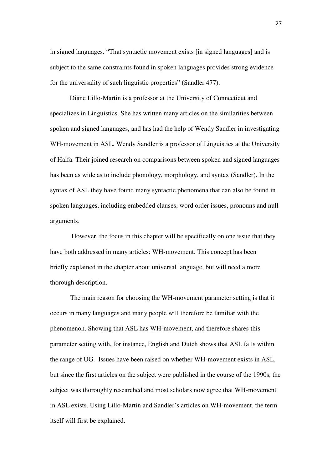in signed languages. "That syntactic movement exists [in signed languages] and is subject to the same constraints found in spoken languages provides strong evidence for the universality of such linguistic properties" (Sandler 477).

Diane Lillo-Martin is a professor at the University of Connecticut and specializes in Linguistics. She has written many articles on the similarities between spoken and signed languages, and has had the help of Wendy Sandler in investigating WH-movement in ASL. Wendy Sandler is a professor of Linguistics at the University of Haifa. Their joined research on comparisons between spoken and signed languages has been as wide as to include phonology, morphology, and syntax (Sandler). In the syntax of ASL they have found many syntactic phenomena that can also be found in spoken languages, including embedded clauses, word order issues, pronouns and null arguments.

 However, the focus in this chapter will be specifically on one issue that they have both addressed in many articles: WH-movement. This concept has been briefly explained in the chapter about universal language, but will need a more thorough description.

 The main reason for choosing the WH-movement parameter setting is that it occurs in many languages and many people will therefore be familiar with the phenomenon. Showing that ASL has WH-movement, and therefore shares this parameter setting with, for instance, English and Dutch shows that ASL falls within the range of UG. Issues have been raised on whether WH-movement exists in ASL, but since the first articles on the subject were published in the course of the 1990s, the subject was thoroughly researched and most scholars now agree that WH-movement in ASL exists. Using Lillo-Martin and Sandler's articles on WH-movement, the term itself will first be explained.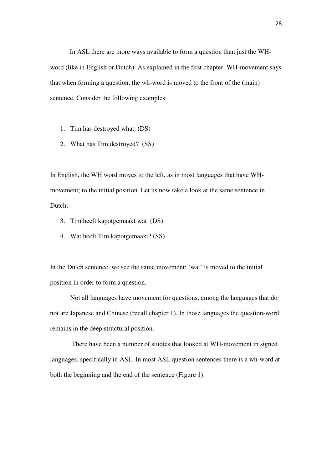In ASL there are more ways available to form a question than just the WHword (like in English or Dutch). As explained in the first chapter, WH-movement says that when forming a question, the wh-word is moved to the front of the (main) sentence. Consider the following examples:

- 1. Tim has destroyed what (DS)
- 2. What has Tim destroyed? (SS)

In English, the WH word moves to the left, as in most languages that have WHmovement; to the initial position. Let us now take a look at the same sentence in Dutch:

- 3. Tim heeft kapotgemaakt wat (DS)
- 4. Wat heeft Tim kapotgemaakt? (SS)

In the Dutch sentence, we see the same movement: 'wat' is moved to the initial position in order to form a question.

Not all languages have movement for questions, among the languages that do not are Japanese and Chinese (recall chapter 1). In those languages the question-word remains in the deep structural position.

 There have been a number of studies that looked at WH-movement in signed languages, specifically in ASL. In most ASL question sentences there is a wh-word at both the beginning and the end of the sentence (Figure 1).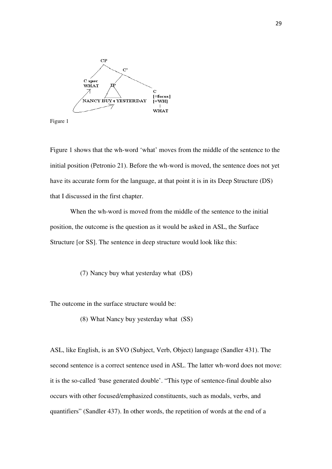

Figure 1

Figure 1 shows that the wh-word 'what' moves from the middle of the sentence to the initial position (Petronio 21). Before the wh-word is moved, the sentence does not yet have its accurate form for the language, at that point it is in its Deep Structure (DS) that I discussed in the first chapter.

When the wh-word is moved from the middle of the sentence to the initial position, the outcome is the question as it would be asked in ASL, the Surface Structure [or SS]. The sentence in deep structure would look like this:

(7) Nancy buy what yesterday what (DS)

The outcome in the surface structure would be:

(8) What Nancy buy yesterday what (SS)

ASL, like English, is an SVO (Subject, Verb, Object) language (Sandler 431). The second sentence is a correct sentence used in ASL. The latter wh-word does not move: it is the so-called 'base generated double'. "This type of sentence-final double also occurs with other focused/emphasized constituents, such as modals, verbs, and quantifiers" (Sandler 437). In other words, the repetition of words at the end of a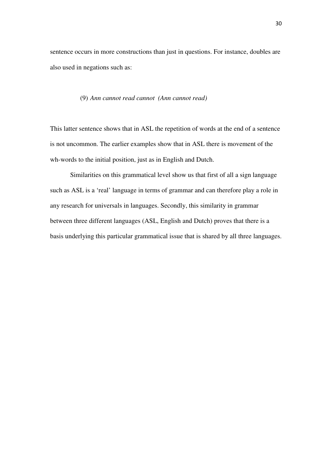sentence occurs in more constructions than just in questions. For instance, doubles are also used in negations such as:

#### (9) *Ann cannot read cannot (Ann cannot read)*

This latter sentence shows that in ASL the repetition of words at the end of a sentence is not uncommon. The earlier examples show that in ASL there is movement of the wh-words to the initial position, just as in English and Dutch.

Similarities on this grammatical level show us that first of all a sign language such as ASL is a 'real' language in terms of grammar and can therefore play a role in any research for universals in languages. Secondly, this similarity in grammar between three different languages (ASL, English and Dutch) proves that there is a basis underlying this particular grammatical issue that is shared by all three languages.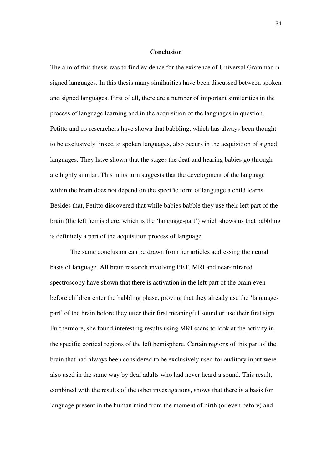## **Conclusion**

The aim of this thesis was to find evidence for the existence of Universal Grammar in signed languages. In this thesis many similarities have been discussed between spoken and signed languages. First of all, there are a number of important similarities in the process of language learning and in the acquisition of the languages in question. Petitto and co-researchers have shown that babbling, which has always been thought to be exclusively linked to spoken languages, also occurs in the acquisition of signed languages. They have shown that the stages the deaf and hearing babies go through are highly similar. This in its turn suggests that the development of the language within the brain does not depend on the specific form of language a child learns. Besides that, Petitto discovered that while babies babble they use their left part of the brain (the left hemisphere, which is the 'language-part') which shows us that babbling is definitely a part of the acquisition process of language.

 The same conclusion can be drawn from her articles addressing the neural basis of language. All brain research involving PET, MRI and near-infrared spectroscopy have shown that there is activation in the left part of the brain even before children enter the babbling phase, proving that they already use the 'languagepart' of the brain before they utter their first meaningful sound or use their first sign. Furthermore, she found interesting results using MRI scans to look at the activity in the specific cortical regions of the left hemisphere. Certain regions of this part of the brain that had always been considered to be exclusively used for auditory input were also used in the same way by deaf adults who had never heard a sound. This result, combined with the results of the other investigations, shows that there is a basis for language present in the human mind from the moment of birth (or even before) and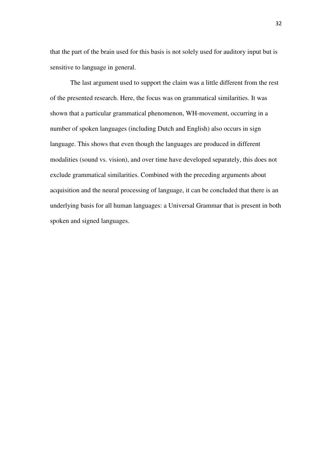that the part of the brain used for this basis is not solely used for auditory input but is sensitive to language in general.

 The last argument used to support the claim was a little different from the rest of the presented research. Here, the focus was on grammatical similarities. It was shown that a particular grammatical phenomenon, WH-movement, occurring in a number of spoken languages (including Dutch and English) also occurs in sign language. This shows that even though the languages are produced in different modalities (sound vs. vision), and over time have developed separately, this does not exclude grammatical similarities. Combined with the preceding arguments about acquisition and the neural processing of language, it can be concluded that there is an underlying basis for all human languages: a Universal Grammar that is present in both spoken and signed languages.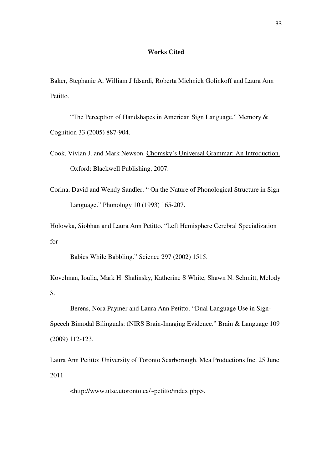## **Works Cited**

Baker, Stephanie A, William J Idsardi, Roberta Michnick Golinkoff and Laura Ann Petitto.

 "The Perception of Handshapes in American Sign Language." Memory & Cognition 33 (2005) 887-904.

Cook, Vivian J. and Mark Newson. Chomsky's Universal Grammar: An Introduction. Oxford: Blackwell Publishing, 2007.

Corina, David and Wendy Sandler. " On the Nature of Phonological Structure in Sign Language." Phonology 10 (1993) 165-207.

Holowka, Siobhan and Laura Ann Petitto. "Left Hemisphere Cerebral Specialization for

Babies While Babbling." Science 297 (2002) 1515.

Kovelman, Ioulia, Mark H. Shalinsky, Katherine S White, Shawn N. Schmitt, Melody S.

 Berens, Nora Paymer and Laura Ann Petitto. "Dual Language Use in Sign-Speech Bimodal Bilinguals: fNIRS Brain-Imaging Evidence." Brain & Language 109 (2009) 112-123.

Laura Ann Petitto: University of Toronto Scarborough. Mea Productions Inc. 25 June 2011

<http://www.utsc.utoronto.ca/~petitto/index.php>.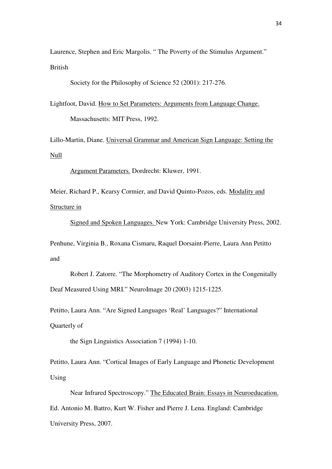Laurence, Stephen and Eric Margolis. " The Poverty of the Stimulus Argument." British

Society for the Philosophy of Science 52 (2001): 217-276.

Lightfoot, David. How to Set Parameters: Arguments from Language Change. Massachusetts: MIT Press, 1992.

Lillo-Martin, Diane. Universal Grammar and American Sign Language: Setting the Null

Argument Parameters. Dordrecht: Kluwer, 1991.

Meier, Richard P., Kearsy Cormier, and David Quinto-Pozos, eds. Modality and Structure in

Signed and Spoken Languages. New York: Cambridge University Press, 2002.

Penhune, Virginia B., Roxana Cismaru, Raquel Dorsaint-Pierre, Laura Ann Petitto and

 Robert J. Zatorre. "The Morphometry of Auditory Cortex in the Congenitally Deaf Measured Using MRI." NeuroImage 20 (2003) 1215-1225.

Petitto, Laura Ann. "Are Signed Languages 'Real' Languages?" International

Quarterly of

the Sign Linguistics Association 7 (1994) 1-10.

Petitto, Laura Ann. "Cortical Images of Early Language and Phonetic Development Using

 Near Infrared Spectroscopy." The Educated Brain: Essays in Neuroeducation. Ed. Antonio M. Battro, Kurt W. Fisher and Pierre J. Lena. England: Cambridge University Press, 2007.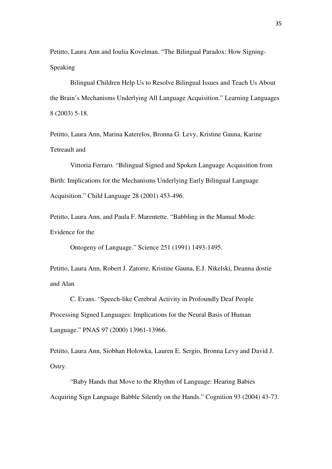Petitto, Laura Ann and Ioulia Kovelman. "The Bilingual Paradox: How Signing-Speaking

 Bilingual Children Help Us to Resolve Bilingual Issues and Teach Us About the Brain's Mechanisms Underlying All Language Acquisition." Learning Languages 8 (2003) 5-18.

Petitto, Laura Ann, Marina Katerelos, Bronna G. Levy, Kristine Gauna, Karine Tetreault and

 Vittoria Ferraro. "Bilingual Signed and Spoken Language Acquisition from Birth: Implications for the Mechanisms Underlying Early Bilingual Language Acquisition." Child Language 28 (2001) 453-496.

Petitto, Laura Ann, and Paula F. Marentette. "Babbling in the Manual Mode: Evidence for the

Ontogeny of Language." Science 251 (1991) 1493-1495.

Petitto, Laura Ann, Robert J. Zatorre, Kristine Gauna, E.J. Nikelski, Deanna dostie and Alan

 C. Evans. "Speech-like Cerebral Activity in Profoundly Deaf People Processing Signed Languages: Implications for the Neural Basis of Human Language." PNAS 97 (2000) 13961-13966.

Petitto, Laura Ann, Siobhan Holowka, Lauren E. Sergio, Bronna Levy and David J. Ostry.

 "Baby Hands that Move to the Rhythm of Language: Hearing Babies Acquiring Sign Language Babble Silently on the Hands." Cognition 93 (2004) 43-73.